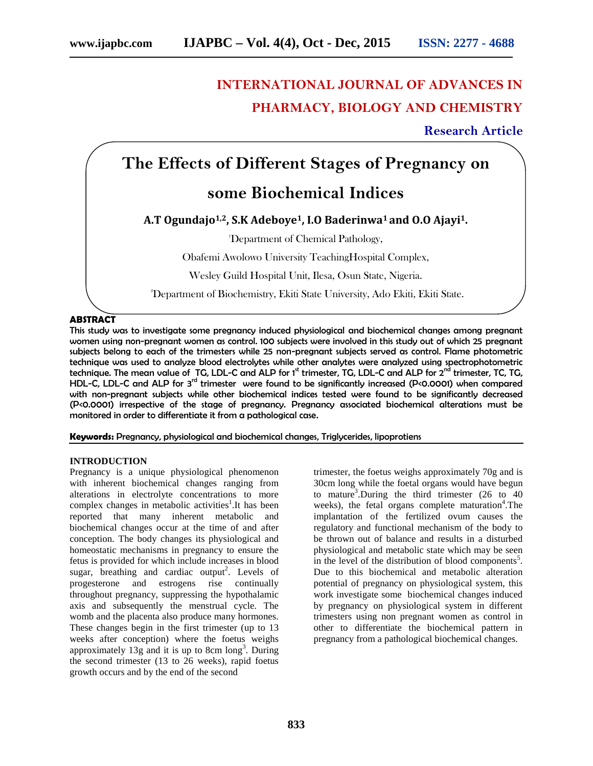# **INTERNATIONAL JOURNAL OF ADVANCES IN PHARMACY, BIOLOGY AND CHEMISTRY**

**Research Article**

# **The Effects of Different Stages of Pregnancy on**

# **some Biochemical Indices**

## **A.T Ogundajo1,2, S.K Adeboye1, I.O Baderinwa<sup>1</sup> and O.O Ajayi1.**

<sup>1</sup>Department of Chemical Pathology,

Obafemi Awolowo University TeachingHospital Complex,

Wesley Guild Hospital Unit, Ilesa, Osun State, Nigeria.

<sup>2</sup>Department of Biochemistry, Ekiti State University, Ado Ekiti, Ekiti State.

### **ABSTRACT**

This study was to investigate some pregnancy induced physiological and biochemical changes among pregnant women using non-pregnant women as control. 100 subjects were involved in this study out of which 25 pregnant subjects belong to each of the trimesters while 25 non-pregnant subjects served as control. Flame photometric technique was used to analyze blood electrolytes while other analytes were analyzed using spectrophotometric technique. The mean value of TG, LDL-C and ALP for 1<sup>st</sup> trimester, TG, LDL-C and ALP for 2<sup>nd</sup> trimester, TC, TG, HDL-C, LDL-C and ALP for 3<sup>rd</sup> trimester were found to be significantly increased (P<0.0001) when compared with non-pregnant subjects while other biochemical indices tested were found to be significantly decreased (P<0.0001) irrespective of the stage of pregnancy. Pregnancy associated biochemical alterations must be monitored in order to differentiate it from a pathological case.

**Keywords:** Pregnancy, physiological and biochemical changes, Triglycerides, lipoprotiens

#### **INTRODUCTION**

Pregnancy is a unique physiological phenomenon with inherent biochemical changes ranging from alterations in electrolyte concentrations to more complex changes in metabolic activities<sup>1</sup>. It has been reported that many inherent metabolic and biochemical changes occur at the time of and after conception. The body changes its physiological and homeostatic mechanisms in pregnancy to ensure the fetus is provided for which include increases in blood sugar, breathing and cardiac output<sup>2</sup>. Levels of progesterone and estrogens rise continually throughout pregnancy, suppressing the hypothalamic axis and subsequently the menstrual cycle. The womb and the placenta also produce many hormones. These changes begin in the first trimester (up to 13 weeks after conception) where the foetus weighs approximately  $13g$  and it is up to 8cm  $\log^3$ . During the second trimester (13 to 26 weeks), rapid foetus growth occurs and by the end of the second

trimester, the foetus weighs approximately 70g and is 30cm long while the foetal organs would have begun to mature<sup>3</sup>.During the third trimester (26 to 40 weeks), the fetal organs complete maturation<sup>4</sup>. The implantation of the fertilized ovum causes the regulatory and functional mechanism of the body to be thrown out of balance and results in a disturbed physiological and metabolic state which may be seen in the level of the distribution of blood components<sup>5</sup>. Due to this biochemical and metabolic alteration potential of pregnancy on physiological system, this work investigate some biochemical changes induced by pregnancy on physiological system in different trimesters using non pregnant women as control in other to differentiate the biochemical pattern in pregnancy from a pathological biochemical changes.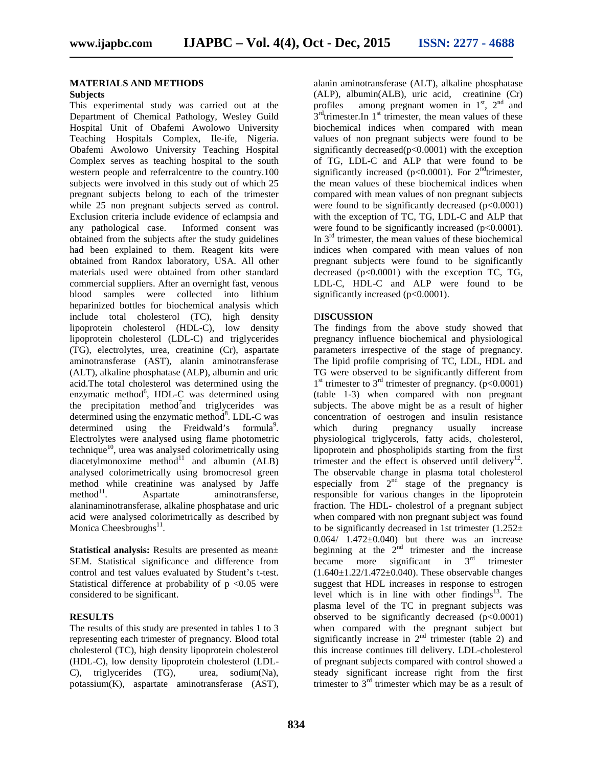#### **MATERIALS AND METHODS**

## **Subjects**

This experimental study was carried out at the Department of Chemical Pathology, Wesley Guild Hospital Unit of Obafemi Awolowo University Teaching Hospitals Complex, Ile-ife, Nigeria. Obafemi Awolowo University Teaching Hospital Complex serves as teaching hospital to the south western people and referralcentre to the country.100 subjects were involved in this study out of which 25 pregnant subjects belong to each of the trimester while 25 non pregnant subjects served as control. Exclusion criteria include evidence of eclampsia and any pathological case. Informed consent was obtained from the subjects after the study guidelines had been explained to them. Reagent kits were obtained from Randox laboratory, USA. All other materials used were obtained from other standard commercial suppliers. After an overnight fast, venous blood samples were collected into lithium heparinized bottles for biochemical analysis which include total cholesterol (TC), high density lipoprotein cholesterol (HDL-C), low density lipoprotein cholesterol (LDL-C) and triglycerides (TG), electrolytes, urea, creatinine (Cr), aspartate aminotransferase (AST), alanin aminotransferase (ALT), alkaline phosphatase (ALP), albumin and uric acid.The total cholesterol was determined using the enzymatic method<sup>6</sup>, HDL-C was determined using the precipitation method<sup>7</sup> and triglycerides was determined using the enzymatic method<sup>8</sup>. LDL-C was determined using the Freidwald's formula<sup>9</sup>. Electrolytes were analysed using flame photometric technique<sup>10</sup>, urea was analysed colorimetrically using  $diacetylmonoxime method<sup>11</sup>$  and albumin  $(ALB)$ analysed colorimetrically using bromocresol green method while creatinine was analysed by Jaffe  $method<sup>11</sup>$ . . Aspartate aminotransferse, alaninaminotransferase, alkaline phosphatase and uric acid were analysed colorimetrically as described by Monica Cheesbroughs<sup>11</sup>.

**Statistical analysis:** Results are presented as mean± SEM. Statistical significance and difference from control and test values evaluated by Student's t-test. Statistical difference at probability of  $p \le 0.05$  were considered to be significant.

#### **RESULTS**

The results of this study are presented in tables 1 to 3 representing each trimester of pregnancy. Blood total cholesterol (TC), high density lipoprotein cholesterol (HDL-C), low density lipoprotein cholesterol (LDL- C), triglycerides (TG), urea, sodium(Na), potassium(K), aspartate aminotransferase (AST), alanin aminotransferase (ALT), alkaline phosphatase (ALP), albumin(ALB), uric acid, creatinine (Cr) profiles among pregnant women in  $1<sup>st</sup>$ ,  $2<sup>nd</sup>$  and  $3<sup>rd</sup>$ trimester.In 1<sup>st</sup> trimester, the mean values of these biochemical indices when compared with mean values of non pregnant subjects were found to be significantly decreased $(p<0.0001)$  with the exception of TG, LDL-C and ALP that were found to be significantly increased ( $p<0.0001$ ). For  $2<sup>nd</sup>$ trimester, the mean values of these biochemical indices when compared with mean values of non pregnant subjects were found to be significantly decreased  $(p<0.0001)$ with the exception of TC, TG, LDL-C and ALP that were found to be significantly increased  $(p<0.0001)$ . In  $3<sup>rd</sup>$  trimester, the mean values of these biochemical indices when compared with mean values of non pregnant subjects were found to be significantly decreased  $(p<0.0001)$  with the exception TC, TG, LDL-C, HDL-C and ALP were found to be significantly increased (p<0.0001).

#### D**ISCUSSION**

The findings from the above study showed that pregnancy influence biochemical and physiological parameters irrespective of the stage of pregnancy. The lipid profile comprising of TC, LDL, HDL and TG were observed to be significantly different from  $1<sup>st</sup>$  trimester to  $3<sup>rd</sup>$  trimester of pregnancy. (p<0.0001) (table 1-3) when compared with non pregnant subjects. The above might be as a result of higher concentration of oestrogen and insulin resistance which during pregnancy usually increase physiological triglycerols, fatty acids, cholesterol, lipoprotein and phospholipids starting from the first trimester and the effect is observed until delivery<sup>12</sup>. The observable change in plasma total cholesterol especially from  $2<sup>nd</sup>$  stage of the pregnancy is responsible for various changes in the lipoprotein fraction. The HDL- cholestrol of a pregnant subject when compared with non pregnant subject was found to be significantly decreased in 1st trimester  $(1.252 \pm 1.252)$  $0.064/ 1.472 \pm 0.040$  but there was an increase beginning at the  $2<sup>nd</sup>$  trimester and the increase became more significant in  $3<sup>rd</sup>$  trimester  $(1.640 \pm 1.22/1.472 \pm 0.040)$ . These observable changes suggest that HDL increases in response to estrogen level which is in line with other findings $^{13}$ . The plasma level of the TC in pregnant subjects was observed to be significantly decreased  $(p<0.0001)$ when compared with the pregnant subject but significantly increase in  $2<sup>nd</sup>$  trimester (table 2) and this increase continues till delivery. LDL-cholesterol of pregnant subjects compared with control showed a steady significant increase right from the first trimester to  $3<sup>rd</sup>$  trimester which may be as a result of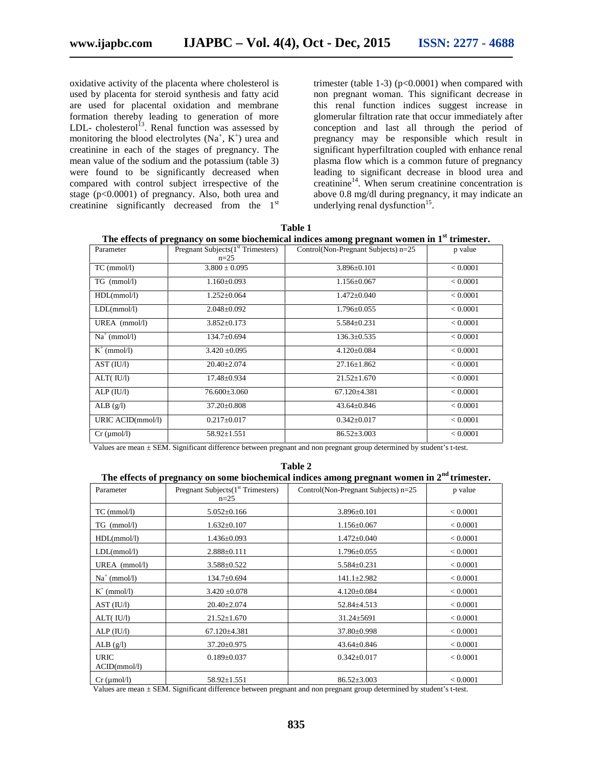oxidative activity of the placenta where cholesterol is used by placenta for steroid synthesis and fatty acid are used for placental oxidation and membrane formation thereby leading to generation of more LDL- cholesterol<sup>13</sup>. Renal function was assessed by monitoring the blood electrolytes  $(Na^+, K^+)$  urea and creatinine in each of the stages of pregnancy. The mean value of the sodium and the potassium (table 3) were found to be significantly decreased when compared with control subject irrespective of the stage (p<0.0001) of pregnancy. Also, both urea and creatinine significantly decreased from the 1st

trimester (table 1-3)  $(p<0.0001)$  when compared with non pregnant woman. This significant decrease in this renal function indices suggest increase in glomerular filtration rate that occur immediately after conception and last all through the period of pregnancy may be responsible which result in significant hyperfiltration coupled with enhance renal plasma flow which is a common future of pregnancy leading to significant decrease in blood urea and creatinine<sup>14</sup>. When serum creatinine concentration is above 0.8 mg/dl during pregnancy, it may indicate an underlying renal dysfunction<sup>15</sup>.

| Pregnant Subjects $(1st Trimeters)$<br>$n=2.5$ | Control(Non-Pregnant Subjects) n=25 | p value  |
|------------------------------------------------|-------------------------------------|----------|
|                                                |                                     |          |
| $3.800 \pm 0.095$                              | $3.896 \pm 0.101$                   | < 0.0001 |
| $1.160 \pm 0.093$                              | $1.156 \pm 0.067$                   | < 0.0001 |
| $1.252 \pm 0.064$                              | $1.472 \pm 0.040$                   | < 0.0001 |
| $2.048 \pm 0.092$                              | $1.796 \pm 0.055$                   | < 0.0001 |
| $3.852 \pm 0.173$                              | $5.584 \pm 0.231$                   | < 0.0001 |
| $134.7 \pm 0.694$                              | $136.3 \pm 0.535$                   | < 0.0001 |
| $3.420 \pm 0.095$                              | $4.120 \pm 0.084$                   | < 0.0001 |
| $20.40 \pm 2.074$                              | $27.16 \pm 1.862$                   | < 0.0001 |
| $17.48 \pm 0.934$                              | $21.52 \pm 1.670$                   | < 0.0001 |
| 76.600±3.060                                   | $67.120 \pm 4.381$                  | < 0.0001 |
| $37.20 \pm 0.808$                              | $43.64 \pm 0.846$                   | < 0.0001 |
| $0.217 \pm 0.017$                              | $0.342 \pm 0.017$                   | < 0.0001 |
| $58.92 \pm 1.551$                              | $86.52 \pm 3.003$                   | < 0.0001 |
|                                                |                                     |          |

**Table 1 The effects of pregnancy on some biochemical indices among pregnant women in 1st trimester.**

Values are mean ± SEM. Significant difference between pregnant and non pregnant group determined by student's t-test.

**Table 2**

| The effects of pregnancy on some biochemical indices among pregnant women in $2nd$ trimester. |                                                |                                     |          |  |  |
|-----------------------------------------------------------------------------------------------|------------------------------------------------|-------------------------------------|----------|--|--|
| Parameter                                                                                     | Pregnant Subjects $(1st$ Trimesters)<br>$n=25$ | Control(Non-Pregnant Subjects) n=25 | p value  |  |  |
| $TC \ (mmol/l)$                                                                               | $5.052 \pm 0.166$                              | $3.896 \pm 0.101$                   | < 0.0001 |  |  |
| $TG \ (mmol/l)$                                                                               | $1.632 \pm 0.107$                              | $1.156 \pm 0.067$                   | < 0.0001 |  |  |
| HDL(mmol/l)                                                                                   | $1.436 \pm 0.093$                              | $1.472 \pm 0.040$                   | < 0.0001 |  |  |
| LDL(mmol/l)                                                                                   | $2.888 \pm 0.111$                              | $1.796 \pm 0.055$                   | < 0.0001 |  |  |
| UREA (mmol/l)                                                                                 | $3.588 + 0.522$                                | $5.584 \pm 0.231$                   | < 0.0001 |  |  |
| $Na^+$ (mmol/l)                                                                               | $134.7 \pm 0.694$                              | $141.1 \pm 2.982$                   | < 0.0001 |  |  |
| $K^+$ (mmol/l)                                                                                | $3.420 \pm 0.078$                              | $4.120 \pm 0.084$                   | < 0.0001 |  |  |
| AST (IU/l)                                                                                    | $20.40 \pm 2.074$                              | $52.84 \pm 4.513$                   | < 0.0001 |  |  |
| ALT(IU/I)                                                                                     | $21.52 \pm 1.670$                              | $31.24 \pm 5691$                    | < 0.0001 |  |  |
| ALP (IU/l)                                                                                    | $67.120 \pm 4.381$                             | $37.80 \pm 0.998$                   | < 0.0001 |  |  |
| ALB $(g/l)$                                                                                   | $37.20 \pm 0.975$                              | $43.64 \pm 0.846$                   | < 0.0001 |  |  |
| <b>URIC</b><br>ACID(mmol/l)                                                                   | $0.189 \pm 0.037$                              | $0.342 \pm 0.017$                   | < 0.0001 |  |  |
| $Cr \, (\mu \text{mol/l})$                                                                    | $58.92 \pm 1.551$                              | $86.52 \pm 3.003$                   | < 0.0001 |  |  |

Values are mean ± SEM. Significant difference between pregnant and non pregnant group determined by student's t-test.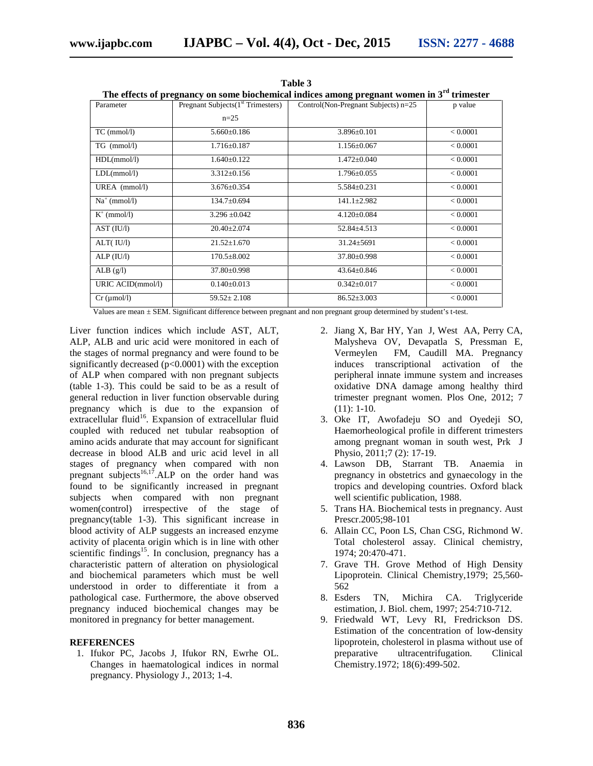| The effects of pregnancy on some biochemical indices among pregnant women in 3 <sup>rd</sup> trimester |                                     |                                     |          |  |  |  |
|--------------------------------------------------------------------------------------------------------|-------------------------------------|-------------------------------------|----------|--|--|--|
| Parameter                                                                                              | Pregnant Subjects $(1st Trimeters)$ | Control(Non-Pregnant Subjects) n=25 | p value  |  |  |  |
|                                                                                                        | $n=25$                              |                                     |          |  |  |  |
| $TC$ (mmol/l)                                                                                          | $5.660 \pm 0.186$                   | $3.896 \pm 0.101$                   | < 0.0001 |  |  |  |
| $TG \ (mmol/l)$                                                                                        | $1.716 \pm 0.187$                   | $1.156 \pm 0.067$                   | < 0.0001 |  |  |  |
| HDL(mmol/l)                                                                                            | $1.640 \pm 0.122$                   | $1.472 \pm 0.040$                   | < 0.0001 |  |  |  |
| LDL(mmol/l)                                                                                            | $3.312 \pm 0.156$                   | $1.796 \pm 0.055$                   | < 0.0001 |  |  |  |
| UREA (mmol/l)                                                                                          | $3.676 \pm 0.354$                   | $5.584 \pm 0.231$                   | < 0.0001 |  |  |  |
| $Na^+$ (mmol/l)                                                                                        | $134.7 \pm 0.694$                   | $141.1 \pm 2.982$                   | < 0.0001 |  |  |  |
| $K^+$ (mmol/l)                                                                                         | $3.296 \pm 0.042$                   | $4.120 \pm 0.084$                   | < 0.0001 |  |  |  |
| AST (IU/I)                                                                                             | $20.40 \pm 2.074$                   | $52.84 \pm 4.513$                   | < 0.0001 |  |  |  |
| ALT(IU/I)                                                                                              | $21.52 \pm 1.670$                   | $31.24 \pm 5691$                    | < 0.0001 |  |  |  |
| ALP (IU/l)                                                                                             | $170.5 \pm 8.002$                   | $37.80 \pm 0.998$                   | < 0.0001 |  |  |  |
| ALB $(g/l)$                                                                                            | $37.80 \pm 0.998$                   | $43.64 \pm 0.846$                   | < 0.0001 |  |  |  |
| URIC ACID(mmol/l)                                                                                      | $0.140 \pm 0.013$                   | $0.342 \pm 0.017$                   | < 0.0001 |  |  |  |
| $Cr \, (\mu \text{mol/l})$                                                                             | $59.52 \pm 2.108$                   | $86.52 \pm 3.003$                   | < 0.0001 |  |  |  |

**Table 3**

Values are mean ± SEM. Significant difference between pregnant and non pregnant group determined by student's t-test.

Liver function indices which include AST, ALT, ALP, ALB and uric acid were monitored in each of the stages of normal pregnancy and were found to be significantly decreased ( $p<0.0001$ ) with the exception of ALP when compared with non pregnant subjects (table 1-3). This could be said to be as a result of general reduction in liver function observable during pregnancy which is due to the expansion of extracellular fluid<sup>16</sup>. Expansion of extracellular fluid coupled with reduced net tubular reabsoption of amino acids andurate that may account for significant decrease in blood ALB and uric acid level in all stages of pregnancy when compared with non pregnant subjects<sup>16,17</sup>.ALP on the order hand was found to be significantly increased in pregnant subjects when compared with non pregnant women(control) irrespective of the stage of pregnancy(table 1-3). This significant increase in blood activity of ALP suggests an increased enzyme activity of placenta origin which is in line with other scientific findings<sup>15</sup>. In conclusion, pregnancy has a characteristic pattern of alteration on physiological and biochemical parameters which must be well understood in order to differentiate it from a pathological case. Furthermore, the above observed pregnancy induced biochemical changes may be monitored in pregnancy for better management.

#### **REFERENCES**

1. Ifukor PC, Jacobs J, Ifukor RN, Ewrhe OL. Changes in haematological indices in normal pregnancy. Physiology J., 2013; 1-4.

- 2. Jiang X, Bar HY, Yan J, West AA, Perry CA, Malysheva OV, Devapatla S, Pressman E, Vermeylen FM, Caudill MA. Pregnancy induces transcriptional activation of the peripheral innate immune system and increases oxidative DNA damage among healthy third trimester pregnant women. Plos One, 2012; 7 (11): 1-10.
- 3. Oke IT, Awofadeju SO and Oyedeji SO, Haemorheological profile in different trimesters among pregnant woman in south west, Prk J Physio, 2011;7 (2): 17-19.
- 4. Lawson DB, Starrant TB. Anaemia in pregnancy in obstetrics and gynaecology in the tropics and developing countries. Oxford black well scientific publication, 1988.
- 5. Trans HA. Biochemical tests in pregnancy. Aust Prescr.2005;98-101
- 6. Allain CC, Poon LS, Chan CSG, Richmond W. Total cholesterol assay. Clinical chemistry, 1974; 20:470-471.
- 7. Grave TH. Grove Method of High Density Lipoprotein. Clinical Chemistry,1979; 25,560- 562
- 8. Esders TN, Michira CA. Triglyceride estimation, J. Biol. chem, 1997; 254:710-712.
- 9. Friedwald WT, Levy RI, Fredrickson DS. Estimation of the concentration of low-density lipoprotein, cholesterol in plasma without use of preparative ultracentrifugation. Clinical Chemistry.1972; 18(6):499-502.